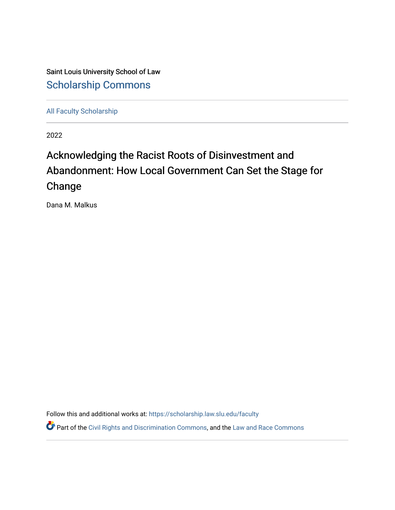Saint Louis University School of Law [Scholarship Commons](https://scholarship.law.slu.edu/)

[All Faculty Scholarship](https://scholarship.law.slu.edu/faculty) 

2022

# Acknowledging the Racist Roots of Disinvestment and Abandonment: How Local Government Can Set the Stage for Change

Dana M. Malkus

Follow this and additional works at: [https://scholarship.law.slu.edu/faculty](https://scholarship.law.slu.edu/faculty?utm_source=scholarship.law.slu.edu%2Ffaculty%2F651&utm_medium=PDF&utm_campaign=PDFCoverPages)

**Part of the [Civil Rights and Discrimination Commons,](https://network.bepress.com/hgg/discipline/585?utm_source=scholarship.law.slu.edu%2Ffaculty%2F651&utm_medium=PDF&utm_campaign=PDFCoverPages) and the Law and Race Commons**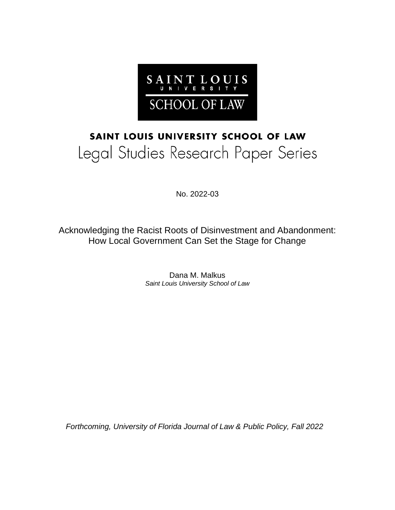

# SAINT LOUIS UNIVERSITY SCHOOL OF LAW Legal Studies Research Paper Series

No. 2022-03

Acknowledging the Racist Roots of Disinvestment and Abandonment: How Local Government Can Set the Stage for Change

> Dana M. Malkus *Saint Louis University School of Law*

*Forthcoming, University of Florida Journal of Law & Public Policy, Fall 2022*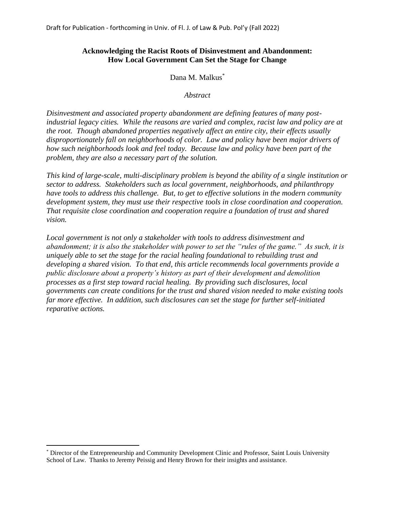# **Acknowledging the Racist Roots of Disinvestment and Abandonment: How Local Government Can Set the Stage for Change**

Dana M. Malkus<sup>\*</sup>

*Abstract*

*Disinvestment and associated property abandonment are defining features of many postindustrial legacy cities. While the reasons are varied and complex, racist law and policy are at the root. Though abandoned properties negatively affect an entire city, their effects usually disproportionately fall on neighborhoods of color. Law and policy have been major drivers of how such neighborhoods look and feel today. Because law and policy have been part of the problem, they are also a necessary part of the solution.* 

*This kind of large-scale, multi-disciplinary problem is beyond the ability of a single institution or sector to address. Stakeholders such as local government, neighborhoods, and philanthropy have tools to address this challenge. But, to get to effective solutions in the modern community development system, they must use their respective tools in close coordination and cooperation. That requisite close coordination and cooperation require a foundation of trust and shared vision.* 

*Local government is not only a stakeholder with tools to address disinvestment and abandonment; it is also the stakeholder with power to set the "rules of the game." As such, it is uniquely able to set the stage for the racial healing foundational to rebuilding trust and developing a shared vision. To that end, this article recommends local governments provide a public disclosure about a property's history as part of their development and demolition processes as a first step toward racial healing. By providing such disclosures, local governments can create conditions for the trust and shared vision needed to make existing tools far more effective. In addition, such disclosures can set the stage for further self-initiated reparative actions.* 

<sup>\*</sup> Director of the Entrepreneurship and Community Development Clinic and Professor, Saint Louis University School of Law. Thanks to Jeremy Peissig and Henry Brown for their insights and assistance.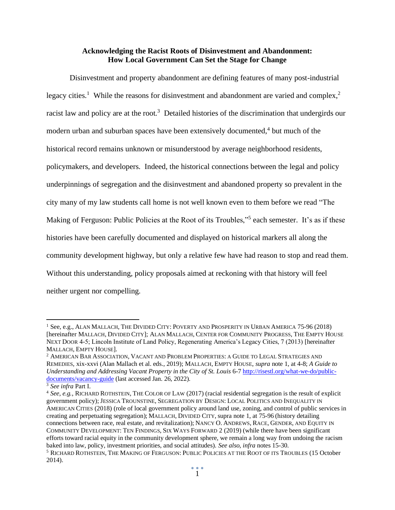## **Acknowledging the Racist Roots of Disinvestment and Abandonment: How Local Government Can Set the Stage for Change**

Disinvestment and property abandonment are defining features of many post-industrial legacy cities.<sup>1</sup> While the reasons for disinvestment and abandonment are varied and complex,<sup>2</sup> racist law and policy are at the root.<sup>3</sup> Detailed histories of the discrimination that undergirds our modern urban and suburban spaces have been extensively documented,<sup>4</sup> but much of the historical record remains unknown or misunderstood by average neighborhood residents, policymakers, and developers. Indeed, the historical connections between the legal and policy underpinnings of segregation and the disinvestment and abandoned property so prevalent in the city many of my law students call home is not well known even to them before we read "The Making of Ferguson: Public Policies at the Root of its Troubles,"<sup>5</sup> each semester. It's as if these histories have been carefully documented and displayed on historical markers all along the community development highway, but only a relative few have had reason to stop and read them. Without this understanding, policy proposals aimed at reckoning with that history will feel neither urgent nor compelling.

 $1$  See, e.g., Alan Mallach, The Divided City: Poverty and Prosperity in Urban America 75-96 (2018) [hereinafter MALLACH, DIVIDED CITY]; ALAN MALLACH, CENTER FOR COMMUNITY PROGRESS, THE EMPTY HOUSE NEXT DOOR 4-5; Lincoln Institute of Land Policy, Regenerating America's Legacy Cities, 7 (2013) [hereinafter MALLACH, EMPTY HOUSE].

<sup>2</sup> AMERICAN BAR ASSOCIATION, VACANT AND PROBLEM PROPERTIES: A GUIDE TO LEGAL STRATEGIES AND REMEDIES, xix-xxvi (Alan Mallach et al. eds., 2019); MALLACH, EMPTY HOUSE, *supra* note 1, at 4-8; *A Guide to Understanding and Addressing Vacant Property in the City of St. Louis* 6-7 [http://risestl.org/what-we-do/public](http://risestl.org/what-we-do/public-documents/vacancy-guide)[documents/vacancy-guide](http://risestl.org/what-we-do/public-documents/vacancy-guide) (last accessed Jan. 26, 2022).

<sup>3</sup> *See infra* Part I.

<sup>4</sup> *See, e.g.*, RICHARD ROTHSTEIN, THE COLOR OF LAW (2017) (racial residential segregation is the result of explicit government policy); JESSICA TROUNSTINE, SEGREGATION BY DESIGN: LOCAL POLITICS AND INEQUALITY IN AMERICAN CITIES (2018) (role of local government policy around land use, zoning, and control of public services in creating and perpetuating segregation); MALLACH, DIVIDED CITY, supra note 1, at 75-96 (history detailing connections between race, real estate, and revitalization); NANCY O. ANDREWS, RACE, GENDER, AND EQUITY IN COMMUNITY DEVELOPMENT: TEN FINDINGS, SIX WAYS FORWARD 2 (2019) (while there have been significant efforts toward racial equity in the community development sphere, we remain a long way from undoing the racism baked into law, policy, investment priorities, and social attitudes). *See also, infra* notes 15-30. <sup>5</sup> RICHARD ROTHSTEIN, THE MAKING OF FERGUSON: PUBLIC POLICIES AT THE ROOT OF ITS TROUBLES (15 October 2014).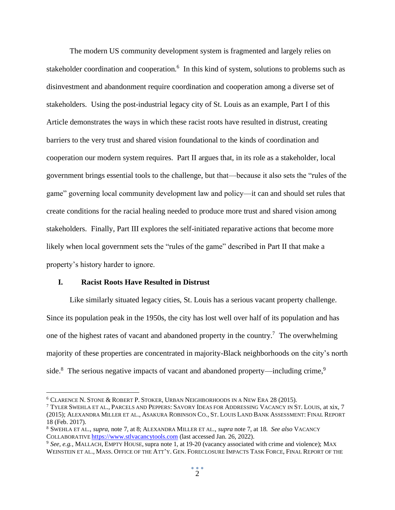The modern US community development system is fragmented and largely relies on stakeholder coordination and cooperation.<sup>6</sup> In this kind of system, solutions to problems such as disinvestment and abandonment require coordination and cooperation among a diverse set of stakeholders. Using the post-industrial legacy city of St. Louis as an example, Part I of this Article demonstrates the ways in which these racist roots have resulted in distrust, creating barriers to the very trust and shared vision foundational to the kinds of coordination and cooperation our modern system requires. Part II argues that, in its role as a stakeholder, local government brings essential tools to the challenge, but that—because it also sets the "rules of the game" governing local community development law and policy—it can and should set rules that create conditions for the racial healing needed to produce more trust and shared vision among stakeholders. Finally, Part III explores the self-initiated reparative actions that become more likely when local government sets the "rules of the game" described in Part II that make a property's history harder to ignore.

#### **I. Racist Roots Have Resulted in Distrust**

Like similarly situated legacy cities, St. Louis has a serious vacant property challenge. Since its population peak in the 1950s, the city has lost well over half of its population and has one of the highest rates of vacant and abandoned property in the country.<sup>7</sup> The overwhelming majority of these properties are concentrated in majority-Black neighborhoods on the city's north side.<sup>8</sup> The serious negative impacts of vacant and abandoned property—including crime,<sup>9</sup>

<sup>6</sup> CLARENCE N. STONE & ROBERT P. STOKER, URBAN NEIGHBORHOODS IN A NEW ERA 28 (2015).

<sup>7</sup> TYLER SWEHLA ET AL., PARCELS AND PEPPERS: SAVORY IDEAS FOR ADDRESSING VACANCY IN ST. LOUIS, at xix, 7 (2015); ALEXANDRA MILLER ET AL., ASAKURA ROBINSON CO., ST. LOUIS LAND BANK ASSESSMENT: FINAL REPORT 18 (Feb. 2017).

<sup>8</sup> SWEHLA ET AL., *supra*, note 7, at 8; ALEXANDRA MILLER ET AL., *supra* note 7, at 18. *See also* VACANCY COLLABORATIVE [https://www.stlvacancytools.com](https://www.stlvacancytools.com/) (last accessed Jan. 26, 2022).

<sup>9</sup> *See, e.g.*, MALLACH, EMPTY HOUSE, supra note 1, at 19-20 (vacancy associated with crime and violence); MAX WEINSTEIN ET AL., MASS. OFFICE OF THE ATT'Y. GEN. FORECLOSURE IMPACTS TASK FORCE, FINAL REPORT OF THE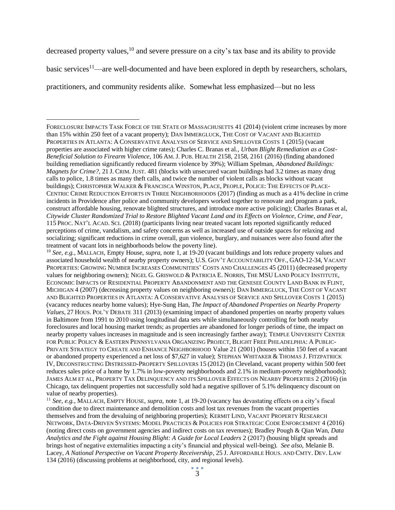decreased property values,<sup>10</sup> and severe pressure on a city's tax base and its ability to provide

basic services<sup>11</sup>—are well-documented and have been explored in depth by researchers, scholars,

practitioners, and community residents alike. Somewhat less emphasized—but no less

FORECLOSURE IMPACTS TASK FORCE OF THE STATE OF MASSACHUSETTS 41 (2014) (violent crime increases by more than 15% within 250 feet of a vacant property); DAN IMMERGLUCK, THE COST OF VACANT AND BLIGHTED PROPERTIES IN ATLANTA: A CONSERVATIVE ANALYSIS OF SERVICE AND SPILLOVER COSTS 1 (2015) (vacant properties are associated with higher crime rates); Charles C. Branas et al*., Urban Blight Remediation as a Cost-Beneficial Solution to Firearm Violence,* 106 AM. J. PUB. HEALTH 2158, 2158, 2161 (2016) (finding abandoned building remediation significantly reduced firearm violence by 39%); William Spelman, *Abandoned Buildings: Magnets for Crime?*, 21 J. CRIM. JUST. 481 (blocks with unsecured vacant buildings had 3.2 times as many drug calls to police, 1.8 times as many theft calls, and twice the number of violent calls as blocks without vacant buildings); CHRISTOPHER WALKER & FRANCISCA WINSTON, PLACE, PEOPLE, POLICE: THE EFFECTS OF PLACE-CENTRIC CRIME REDUCTION EFFORTS IN THREE NEIGHBORHOODS (2017) (finding as much as a 41% decline in crime incidents in Providence after police and community developers worked together to renovate and program a park, construct affordable housing, renovate blighted structures, and introduce more active policing); Charles Branas et al*, Citywide Cluster Randomized Trial to Restore Blighted Vacant Land and its Effects on Violence, Crime, and Fear*, 115 PROC. NAT'L ACAD. SCI. (2018) (participants living near treated vacant lots reported significantly reduced perceptions of crime, vandalism, and safety concerns as well as increased use of outside spaces for relaxing and socializing; significant reductions in crime overall, gun violence, burglary, and nuisances were also found after the treatment of vacant lots in neighborhoods below the poverty line).

<sup>10</sup> *See, e.g.*, MALLACH, Empty House, *supra*, note 1, at 19-20 (vacant buildings and lots reduce property values and associated household wealth of nearby property owners); U.S. GOV'T ACCOUNTABILITY OFF., GAO-12-34, VACANT PROPERTIES: GROWING NUMBER INCREASES COMMUNITIES' COSTS AND CHALLENGES 45 (2011) (decreased property values for neighboring owners); NIGEL G. GRISWOLD & PATRICIA E. NORRIS, THE MSU LAND POLICY INSTITUTE, ECONOMIC IMPACTS OF RESIDENTIAL PROPERTY ABANDONMENT AND THE GENESEE COUNTY LAND BANK IN FLINT, MICHIGAN 4 (2007) (decreasing property values on neighboring owners); DAN IMMERGLUCK, THE COST OF VACANT AND BLIGHTED PROPERTIES IN ATLANTA: A CONSERVATIVE ANALYSIS OF SERVICE AND SPILLOVER COSTS 1 (2015) (vacancy reduces nearby home values); Hye-Sung Han, *The Impact of Abandoned Properties on Nearby Property Values*, 27 HOUS. POL'Y DEBATE 311 (2013) (examining impact of abandoned properties on nearby property values in Baltimore from 1991 to 2010 using longitudinal data sets while simultaneously controlling for both nearby foreclosures and local housing market trends; as properties are abandoned for longer periods of time, the impact on nearby property values increases in magnitude and is seen increasingly farther away); TEMPLE UNIVERSITY CENTER FOR PUBLIC POLICY & EASTERN PENNSYLVANIA ORGANIZING PROJECT, BLIGHT FREE PHILADELPHIA: A PUBLIC-PRIVATE STRATEGY TO CREATE AND ENHANCE NEIGHBORHOOD Value 21 (2001) (houses within 150 feet of a vacant or abandoned property experienced a net loss of \$7,627 in value); STEPHAN WHITAKER & THOMAS J. FITZPATRICK IV, DECONSTRUCTING DISTRESSED-PROPERTY SPILLOVERS 15 (2012) (in Cleveland, vacant property within 500 feet reduces sales price of a home by 1.7% in low-poverty neighborhoods and 2.1% in medium-poverty neighborhoods); JAMES ALM ET AL, PROPERTY TAX DELINQUENCY AND ITS SPILLOVER EFFECTS ON NEARBY PROPERTIES 2 (2016) (in Chicago, tax delinquent properties not successfully sold had a negative spillover of 5.1% delinquency discount on value of nearby properties).

<sup>11</sup> *See, e.g.*, MALLACH, EMPTY HOUSE, *supra*, note 1, at 19-20 (vacancy has devastating effects on a city's fiscal condition due to direct maintenance and demolition costs and lost tax revenues from the vacant properties themselves and from the devaluing of neighboring properties); KERMIT LIND, VACANT PROPERTY RESEARCH NETWORK, DATA-DRIVEN SYSTEMS: MODEL PRACTICES & POLICIES FOR STRATEGIC CODE ENFORCEMENT 4 (2016) (noting direct costs on government agencies and indirect costs on tax revenues); Bradley Pough & Qian Wan, *Data Analytics and the Fight against Housing Blight: A Guide for Local Leaders* 2 (2017) (housing blight spreads and brings host of negative externalities impacting a city's financial and physical well-being). *See also*, Melanie B. Lacey*, A National Perspective on Vacant Property Receivership*, 25 J. AFFORDABLE HOUS. AND CMTY. DEV. LAW 134 (2016) (discussing problems at neighborhood, city, and regional levels).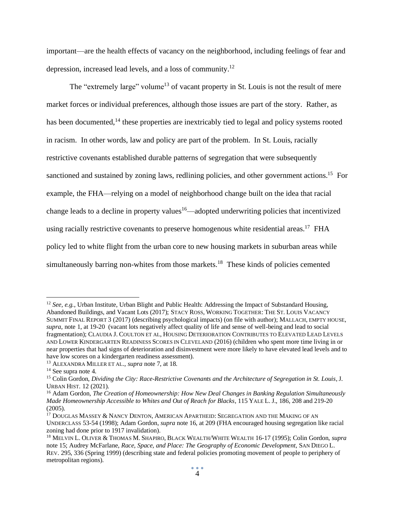important—are the health effects of vacancy on the neighborhood, including feelings of fear and depression, increased lead levels, and a loss of community.<sup>12</sup>

The "extremely large" volume<sup>13</sup> of vacant property in St. Louis is not the result of mere market forces or individual preferences, although those issues are part of the story. Rather, as has been documented,<sup>14</sup> these properties are inextricably tied to legal and policy systems rooted in racism. In other words, law and policy are part of the problem. In St. Louis, racially restrictive covenants established durable patterns of segregation that were subsequently sanctioned and sustained by zoning laws, redlining policies, and other government actions.<sup>15</sup> For example, the FHA—relying on a model of neighborhood change built on the idea that racial change leads to a decline in property values<sup>16</sup>—adopted underwriting policies that incentivized using racially restrictive covenants to preserve homogenous white residential areas.<sup>17</sup> FHA policy led to white flight from the urban core to new housing markets in suburban areas while simultaneously barring non-whites from those markets.<sup>18</sup> These kinds of policies cemented

<sup>&</sup>lt;sup>12</sup> *See, e.g.*, Urban Institute, Urban Blight and Public Health: Addressing the Impact of Substandard Housing, Abandoned Buildings, and Vacant Lots (2017); STACY ROSS, WORKING TOGETHER: THE ST. LOUIS VACANCY SUMMIT FINAL REPORT 3 (2017) (describing psychological impacts) (on file with author); MALLACH, EMPTY HOUSE, *supra*, note 1, at 19-20 (vacant lots negatively affect quality of life and sense of well-being and lead to social fragmentation); CLAUDIA J. COULTON ET AL, HOUSING DETERIORATION CONTRIBUTES TO ELEVATED LEAD LEVELS AND LOWER KINDERGARTEN READINESS SCORES IN CLEVELAND (2016) (children who spent more time living in or near properties that had signs of deterioration and disinvestment were more likely to have elevated lead levels and to have low scores on a kindergarten readiness assessment).

<sup>13</sup> ALEXANDRA MILLER ET AL., *supra* note 7, at 18.

<sup>14</sup> See supra note 4.

<sup>15</sup> Colin Gordon, *Dividing the City: Race-Restrictive Covenants and the Architecture of Segregation in St. Louis*, J. URBAN HIST. 12 (2021).

<sup>16</sup> Adam Gordon*, The Creation of Homeownership: How New Deal Changes in Banking Regulation Simultaneously Made Homeownership Accessible to Whites and Out of Reach for Blacks*, 115 YALE L. J., 186, 208 and 219-20 (2005).

<sup>&</sup>lt;sup>17</sup> DOUGLAS MASSEY & NANCY DENTON, AMERICAN APARTHEID: SEGREGATION AND THE MAKING OF AN UNDERCLASS 53-54 (1998); Adam Gordon, *supra* note 16, at 209 (FHA encouraged housing segregation like racial zoning had done prior to 1917 invalidation).

<sup>18</sup> MELVIN L. OLIVER & THOMAS M. SHAPIRO, BLACK WEALTH/WHITE WEALTH 16-17 (1995); Colin Gordon, *supra*  note 15; Audrey McFarlane, *Race, Space, and Place: The Geography of Economic Development*, SAN DIEGO L. REV. 295, 336 (Spring 1999) (describing state and federal policies promoting movement of people to periphery of metropolitan regions).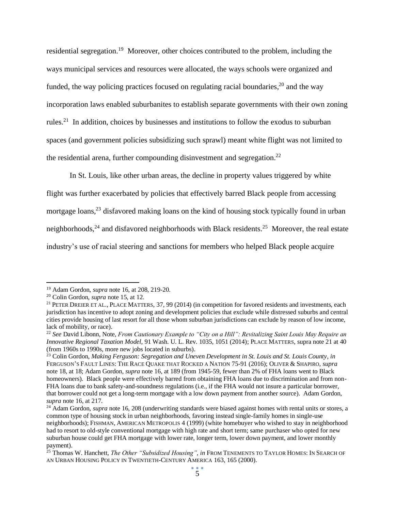residential segregation.<sup>19</sup> Moreover, other choices contributed to the problem, including the ways municipal services and resources were allocated, the ways schools were organized and funded, the way policing practices focused on regulating racial boundaries,<sup>20</sup> and the way incorporation laws enabled suburbanites to establish separate governments with their own zoning rules.<sup>21</sup> In addition, choices by businesses and institutions to follow the exodus to suburban spaces (and government policies subsidizing such sprawl) meant white flight was not limited to the residential arena, further compounding disinvestment and segregation.<sup>22</sup>

In St. Louis, like other urban areas, the decline in property values triggered by white flight was further exacerbated by policies that effectively barred Black people from accessing mortgage loans,<sup>23</sup> disfavored making loans on the kind of housing stock typically found in urban neighborhoods,<sup>24</sup> and disfavored neighborhoods with Black residents.<sup>25</sup> Moreover, the real estate industry's use of racial steering and sanctions for members who helped Black people acquire

<sup>19</sup> Adam Gordon, *supra* note 16, at 208, 219-20.

<sup>20</sup> Colin Gordon, *supra* note 15, at 12.

<sup>&</sup>lt;sup>21</sup> PETER DREIER ET AL., PLACE MATTERS, 37, 99 (2014) (in competition for favored residents and investments, each jurisdiction has incentive to adopt zoning and development policies that exclude while distressed suburbs and central cities provide housing of last resort for all those whom suburban jurisdictions can exclude by reason of low income, lack of mobility, or race).

<sup>22</sup> *See* David Libonn, Note, *From Cautionary Example to "City on a Hill": Revitalizing Saint Louis May Require an Innovative Regional Taxation Model*, 91 Wash. U. L. Rev. 1035, 1051 (2014); PLACE MATTERS, supra note 21 at 40 (from 1960s to 1990s, more new jobs located in suburbs).

<sup>23</sup> Colin Gordon, *Making Ferguson: Segregation and Uneven Development in St. Louis and St. Louis County*, *in* FERGUSON'S FAULT LINES: THE RACE QUAKE THAT ROCKED A NATION 75-91 (2016); OLIVER & SHAPIRO, *supra* note 18, at 18; Adam Gordon, *supra* note 16, at 189 (from 1945-59, fewer than 2% of FHA loans went to Black homeowners). Black people were effectively barred from obtaining FHA loans due to discrimination and from non-FHA loans due to bank safety-and-soundness regulations (i.e., if the FHA would not insure a particular borrower, that borrower could not get a long-term mortgage with a low down payment from another source). Adam Gordon, *supra* note 16, at 217.

<sup>&</sup>lt;sup>24</sup> Adam Gordon, *supra* note 16, 208 (underwriting standards were biased against homes with rental units or stores, a common type of housing stock in urban neighborhoods, favoring instead single-family homes in single-use neighborhoods); FISHMAN, AMERICAN METROPOLIS 4 (1999) (white homebuyer who wished to stay in neighborhood had to resort to old-style conventional mortgage with high rate and short term; same purchaser who opted for new suburban house could get FHA mortgage with lower rate, longer term, lower down payment, and lower monthly payment).

<sup>25</sup> Thomas W. Hanchett, *The Other "Subsidized Housing", in* FROM TENEMENTS TO TAYLOR HOMES: IN SEARCH OF AN URBAN HOUSING POLICY IN TWENTIETH-CENTURY AMERICA 163, 165 (2000).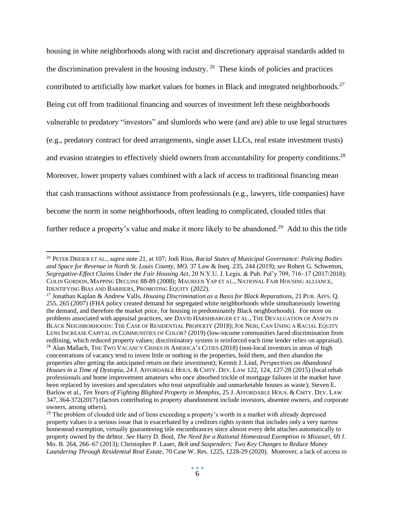housing in white neighborhoods along with racist and discretionary appraisal standards added to the discrimination prevalent in the housing industry.<sup>26</sup> These kinds of policies and practices contributed to artificially low market values for homes in Black and integrated neighborhoods.<sup>27</sup> Being cut off from traditional financing and sources of investment left these neighborhoods vulnerable to predatory "investors" and slumlords who were (and are) able to use legal structures (e.g., predatory contract for deed arrangements, single asset LLCs, real estate investment trusts) and evasion strategies to effectively shield owners from accountability for property conditions.<sup>28</sup> Moreover, lower property values combined with a lack of access to traditional financing mean that cash transactions without assistance from professionals (e.g., lawyers, title companies) have become the norm in some neighborhoods, often leading to complicated, clouded titles that further reduce a property's value and make it more likely to be abandoned.<sup>29</sup> Add to this the title

<sup>26</sup> PETER DREIER ET AL., *supra* note 21, at 107; Jodi Rios, *Racial States of Municipal Governance: Policing Bodies and Space for Revenue in North St. Louis County, MO,* 37 Law & Ineq. 235, 244 (2019); *see* Robert G. Schwemm, *Segregative-Effect Claims Under the Fair Housing Act*, 20 N.Y.U. J. Legis. & Pub. Pol'y 709, 716–17 (2017/2018); COLIN GORDON, MAPPING DECLINE 88-89 (2008); MAUREEN YAP ET AL., NATIONAL FAIR HOUSING ALLIANCE, IDENTIFYING BIAS AND BARRIERS, PROMOTING EQUITY (2022).

<sup>27</sup> Jonathan Kaplan & Andrew Valls, *Housing Discrimination as a Basis for Black Reparations,* 21 PUB. AFFS. Q. 255, 265 (2007) (FHA policy created demand for segregated white neighborhoods while simultaneously lowering the demand, and therefore the market price, for housing in predominately Black neighborhoods). For more on problems associated with appraisal practices, *see* DAVID HARSHBARGER ET AL., THE DEVALUATION OF ASSETS IN BLACK NEIGHBORHOODS: THE CASE OF RESIDENTIAL PROPERTY (2018);JOE NERI, CAN USING A RACIAL EQUITY LENS INCREASE CAPITAL IN COMMUNITIES OF COLOR? (2019) (low-income communities faced discrimination from redlining, which reduced property values; discriminatory system is reinforced each time lender relies on appraisal). <sup>28</sup> Alan Mallach, THE TWO VACANCY CRISES IN AMERICA'S CITIES (2018) (non-local investors in areas of high concentrations of vacancy tend to invest little or nothing in the properties, hold them, and then abandon the properties after getting the anticipated return on their investment); Kermit J. Lind, *Perspectives on Abandoned Houses in a Time of Dystopia*, 24 J. AFFORDABLE HOUS. & CMTY. DEV. LAW 122, 124, 127-28 (2015) (local rehab professionals and home improvement amateurs who once absorbed trickle of mortgage failures in the market have been replaced by investors and speculators who treat unprofitable and unmarketable houses as waste); Steven E. Barlow et al., *Ten Years of Fighting Blighted Property in Memphis*, 25 J. AFFORDABLE HOUS. & CMTY. DEV. LAW 347, 364-372(2017) (factors contributing to property abandonment include investors, absentee owners, and corporate owners, among others).

<sup>&</sup>lt;sup>29</sup> The problem of clouded title and of liens exceeding a property's worth in a market with already depressed property values is a serious issue that is exacerbated by a creditors rights system that includes only a very narrow homestead exemption, virtually guaranteeing title encumbrances since almost every debt attaches automatically to property owned by the debtor. *See* Harry D. Boul, *The Need for a Rational Homestead Exemption in Missouri,* 69 J. Mo. B. 264, 266–67 (2013); Christopher P. Lauer, *Belt and Suspenders: Two Key Changes to Reduce Money Laundering Through Residential Real Estate*, 70 Case W. Res. 1225, 1228-29 (2020). Moreover, a lack of access to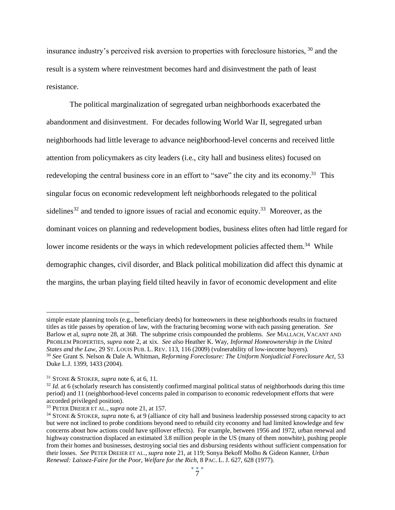insurance industry's perceived risk aversion to properties with foreclosure histories, <sup>30</sup> and the result is a system where reinvestment becomes hard and disinvestment the path of least resistance.

The political marginalization of segregated urban neighborhoods exacerbated the abandonment and disinvestment. For decades following World War II, segregated urban neighborhoods had little leverage to advance neighborhood-level concerns and received little attention from policymakers as city leaders (i.e., city hall and business elites) focused on redeveloping the central business core in an effort to "save" the city and its economy.<sup>31</sup> This singular focus on economic redevelopment left neighborhoods relegated to the political sidelines<sup>32</sup> and tended to ignore issues of racial and economic equity.<sup>33</sup> Moreover, as the dominant voices on planning and redevelopment bodies, business elites often had little regard for lower income residents or the ways in which redevelopment policies affected them.<sup>34</sup> While demographic changes, civil disorder, and Black political mobilization did affect this dynamic at the margins, the urban playing field tilted heavily in favor of economic development and elite

simple estate planning tools (e.g., beneficiary deeds) for homeowners in these neighborhoods results in fractured titles as title passes by operation of law, with the fracturing becoming worse with each passing generation. *See*  Barlow et al, *supra* note 28, at 368. The subprime crisis compounded the problems. *See* MALLACH, VACANT AND PROBLEM PROPERTIES, *supra* note 2, at xix. *See also* Heather K. Way, *Informal Homeownership in the United States and the Law*, 29 ST. LOUIS PUB. L. REV. 113, 116 (2009) (vulnerability of low-income buyers). <sup>30</sup> *See* Grant S. Nelson & Dale A. Whitman, *Reforming Foreclosure: The Uniform Nonjudicial Foreclosure Act*, 53 Duke L.J. 1399, 1433 (2004).

<sup>31</sup> STONE & STOKER, *supra* note 6, at 6, 11.

<sup>&</sup>lt;sup>32</sup> *Id.* at 6 (scholarly research has consistently confirmed marginal political status of neighborhoods during this time period) and 11 (neighborhood-level concerns paled in comparison to economic redevelopment efforts that were accorded privileged position).

<sup>33</sup> PETER DREIER ET AL., *supra* note 21, at 157.

<sup>34</sup> STONE & STOKER, *supra* note 6, at 9 (alliance of city hall and business leadership possessed strong capacity to act but were not inclined to probe conditions beyond need to rebuild city economy and had limited knowledge and few concerns about how actions could have spillover effects). For example, between 1956 and 1972, urban renewal and highway construction displaced an estimated 3.8 million people in the US (many of them nonwhite), pushing people from their homes and businesses, destroying social ties and disbursing residents without sufficient compensation for their losses. *See* PETER DREIER ET AL., *supra* note 21, at 119; Sonya Bekoff Molho & Gideon Kanner, *Urban Renewal: Laissez-Faire for the Poor, Welfare for the Rich*, 8 PAC. L. J. 627, 628 (1977).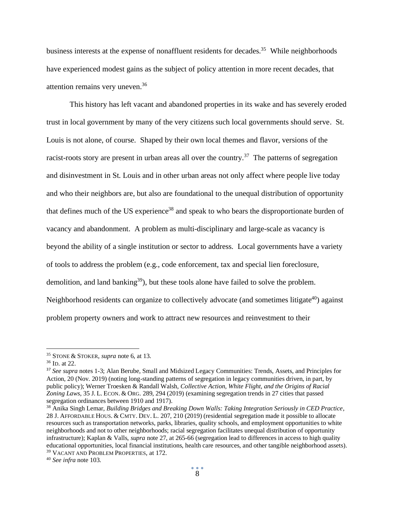business interests at the expense of nonaffluent residents for decades.<sup>35</sup> While neighborhoods have experienced modest gains as the subject of policy attention in more recent decades, that attention remains very uneven.<sup>36</sup>

This history has left vacant and abandoned properties in its wake and has severely eroded trust in local government by many of the very citizens such local governments should serve. St. Louis is not alone, of course. Shaped by their own local themes and flavor, versions of the racist-roots story are present in urban areas all over the country.<sup>37</sup> The patterns of segregation and disinvestment in St. Louis and in other urban areas not only affect where people live today and who their neighbors are, but also are foundational to the unequal distribution of opportunity that defines much of the US experience<sup>38</sup> and speak to who bears the disproportionate burden of vacancy and abandonment. A problem as multi-disciplinary and large-scale as vacancy is beyond the ability of a single institution or sector to address. Local governments have a variety of tools to address the problem (e.g., code enforcement, tax and special lien foreclosure, demolition, and land banking<sup>39</sup>), but these tools alone have failed to solve the problem. Neighborhood residents can organize to collectively advocate (and sometimes litigate $40$ ) against problem property owners and work to attract new resources and reinvestment to their

<sup>35</sup> STONE & STOKER, *supra* note 6, at 13.

<sup>36</sup> ID. at 22.

<sup>&</sup>lt;sup>37</sup> See supra notes 1-3; Alan Berube, Small and Midsized Legacy Communities: Trends, Assets, and Principles for Action, 20 (Nov. 2019) (noting long-standing patterns of segregation in legacy communities driven, in part, by public policy); Werner Troesken & Randall Walsh, *Collective Action, White Flight, and the Origins of Racial Zoning Laws*, 35 J. L. ECON. & ORG. 289, 294 (2019) (examining segregation trends in 27 cities that passed segregation ordinances between 1910 and 1917).

<sup>38</sup> Anika Singh Lemar, *Building Bridges and Breaking Down Walls: Taking Integration Seriously in CED Practice*, 28 J. AFFORDABLE HOUS. & CMTY. DEV. L. 207, 210 (2019) (residential segregation made it possible to allocate resources such as transportation networks, parks, libraries, quality schools, and employment opportunities to white neighborhoods and not to other neighborhoods; racial segregation facilitates unequal distribution of opportunity infrastructure); Kaplan & Valls, *supra* note 27, at 265-66 (segregation lead to differences in access to high quality educational opportunities, local financial institutions, health care resources, and other tangible neighborhood assets). <sup>39</sup> VACANT AND PROBLEM PROPERTIES, at 172.

<sup>40</sup> *See infra* note 103.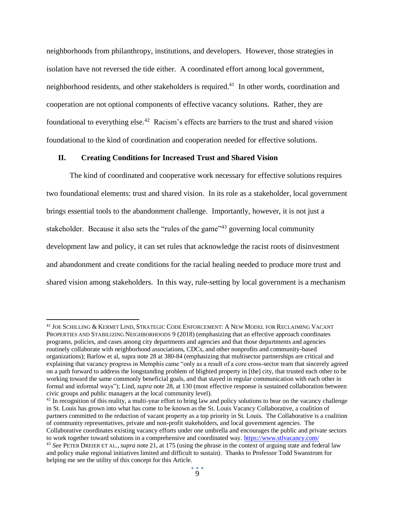neighborhoods from philanthropy, institutions, and developers. However, those strategies in isolation have not reversed the tide either. A coordinated effort among local government, neighborhood residents, and other stakeholders is required.<sup>41</sup> In other words, coordination and cooperation are not optional components of effective vacancy solutions. Rather, they are foundational to everything else.<sup>42</sup> Racism's effects are barriers to the trust and shared vision foundational to the kind of coordination and cooperation needed for effective solutions.

#### **II. Creating Conditions for Increased Trust and Shared Vision**

The kind of coordinated and cooperative work necessary for effective solutions requires two foundational elements: trust and shared vision. In its role as a stakeholder, local government brings essential tools to the abandonment challenge. Importantly, however, it is not just a stakeholder. Because it also sets the "rules of the game"<sup>43</sup> governing local community development law and policy, it can set rules that acknowledge the racist roots of disinvestment and abandonment and create conditions for the racial healing needed to produce more trust and shared vision among stakeholders. In this way, rule-setting by local government is a mechanism

 $42$  In recognition of this reality, a multi-year effort to bring law and policy solutions to bear on the vacancy challenge in St. Louis has grown into what has come to be known as the St. Louis Vacancy Collaborative, a coalition of partners committed to the reduction of vacant property as a top priority in St. Louis. The Collaborative is a coalition of community representatives, private and non-profit stakeholders, and local government agencies. The Collaborative coordinates existing vacancy efforts under one umbrella and encourages the public and private sectors to work together toward solutions in a comprehensive and coordinated way. [https://www.stlvacancy.com/](https://www.stlvacancy.com/l)

<sup>41</sup> JOE SCHILLING & KERMIT LIND, STRATEGIC CODE ENFORCEMENT: A NEW MODEL FOR RECLAIMING VACANT PROPERTIES AND STABILIZING NEIGHBORHOODS 9 (2018) (emphasizing that an effective approach coordinates programs, policies, and cases among city departments and agencies and that those departments and agencies routinely collaborate with neighborhood associations, CDCs, and other nonprofits and community-based organizations); Barlow et al, supra note 28 at 380-84 (emphasizing that multisector partnerships are critical and explaining that vacancy progress in Memphis came "only as a result of a core cross-sector team that sincerely agreed on a path forward to address the longstanding problem of blighted property in [the] city, that trusted each other to be working toward the same commonly beneficial goals, and that stayed in regular communication with each other in formal and informal ways"); Lind, *supra* note 28, at 130 (most effective response is sustained collaboration between civic groups and public managers at the local community level).

<sup>43</sup> *See* PETER DREIER ET AL., *supra* note 21, at 175 (using the phrase in the context of arguing state and federal law and policy make regional initiatives limited and difficult to sustain). Thanks to Professor Todd Swanstrom for helping me see the utility of this concept for this Article.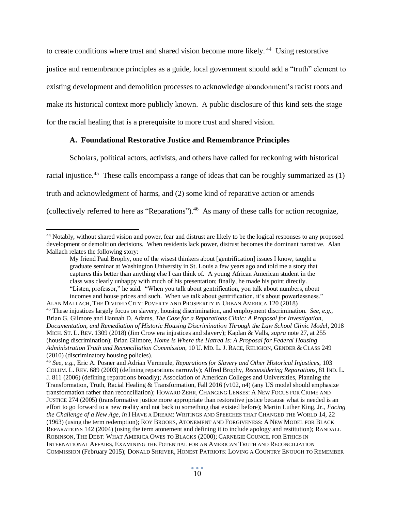to create conditions where trust and shared vision become more likely.<sup>44</sup> Using restorative justice and remembrance principles as a guide, local government should add a "truth" element to existing development and demolition processes to acknowledge abandonment's racist roots and make its historical context more publicly known. A public disclosure of this kind sets the stage for the racial healing that is a prerequisite to more trust and shared vision.

#### **A. Foundational Restorative Justice and Remembrance Principles**

Scholars, political actors, activists, and others have called for reckoning with historical

racial injustice.<sup>45</sup> These calls encompass a range of ideas that can be roughly summarized as (1)

truth and acknowledgment of harms, and (2) some kind of reparative action or amends

(collectively referred to here as "Reparations").<sup>46</sup> As many of these calls for action recognize,

<sup>&</sup>lt;sup>44</sup> Notably, without shared vision and power, fear and distrust are likely to be the logical responses to any proposed development or demolition decisions. When residents lack power, distrust becomes the dominant narrative. Alan Mallach relates the following story:

My friend Paul Brophy, one of the wisest thinkers about [gentrification] issues I know, taught a graduate seminar at Washington University in St. Louis a few years ago and told me a story that captures this better than anything else I can think of. A young African American student in the class was clearly unhappy with much of his presentation; finally, he made his point directly. "Listen, professor," he said. "When you talk about gentrification, you talk about numbers, about

incomes and house prices and such. When *we* talk about gentrification, it's about powerlessness." ALAN MALLACH, THE DIVIDED CITY: POVERTY AND PROSPERITY IN URBAN AMERICA 120 (2018) <sup>45</sup> These injustices largely focus on slavery, housing discrimination, and employment discrimination. *See, e.g.*, Brian G. Gilmore and Hannah D. Adams, *The Case for a Reparations Clinic: A Proposal for Investigation, Documentation, and Remediation of Historic Housing Discrimination Through the Law School Clinic Model*, 2018 MICH. ST. L. REV. 1309 (2018) (Jim Crow era injustices and slavery); Kaplan & Valls, *supra* note 27, at 255 (housing discrimination); Brian Gilmore, *Home is Where the Hatred Is: A Proposal for Federal Housing Administration Truth and Reconciliation Commission*, 10 U. MD. L.J. RACE, RELIGION, GENDER & CLASS 249 (2010) (discriminatory housing policies).

<sup>46</sup> *See, e.g.*, Eric A. Posner and Adrian Vermeule, *Reparations for Slavery and Other Historical Injustices*, 103 COLUM. L. REV. 689 (2003) (defining reparations narrowly); Alfred Brophy, *Reconsidering Reparations*, 81 IND. L. J. 811 (2006) (defining reparations broadly); Association of American Colleges and Universities, Planning the Transformation, Truth, Racial Healing & Transformation, Fall 2016 (v102, n4) (any US model should emphasize transformation rather than reconciliation); HOWARD ZEHR, CHANGING LENSES: A NEW FOCUS FOR CRIME AND JUSTICE 274 (2005) (transformative justice more appropriate than restorative justice because what is needed is an effort to go forward to a new reality and not back to something that existed before); Martin Luther King, Jr*., Facing the Challenge of a New Age, in* I HAVE A DREAM: WRITINGS AND SPEECHES THAT CHANGED THE WORLD 14, 22 (1963) (using the term redemption); ROY BROOKS, ATONEMENT AND FORGIVENESS: A NEW MODEL FOR BLACK REPARATIONS 142 (2004) (using the term atonement and defining it to include apology and restitution); RANDALL ROBINSON, THE DEBT: WHAT AMERICA OWES TO BLACKS (2000); CARNEGIE COUNCIL FOR ETHICS IN INTERNATIONAL AFFAIRS, EXAMINING THE POTENTIAL FOR AN AMERICAN TRUTH AND RECONCILIATION COMMISSION (February 2015); DONALD SHRIVER, HONEST PATRIOTS: LOVING A COUNTRY ENOUGH TO REMEMBER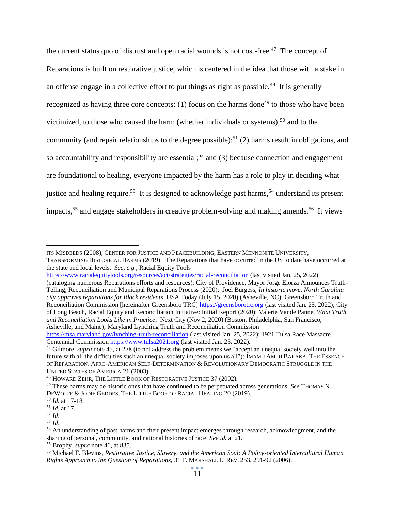the current status quo of distrust and open racial wounds is not cost-free.<sup>47</sup> The concept of Reparations is built on restorative justice, which is centered in the idea that those with a stake in an offense engage in a collective effort to put things as right as possible.<sup>48</sup> It is generally recognized as having three core concepts:  $(1)$  focus on the harms done<sup>49</sup> to those who have been victimized, to those who caused the harm (whether individuals or systems),  $50$  and to the community (and repair relationships to the degree possible);<sup>51</sup> (2) harms result in obligations, and so accountability and responsibility are essential;<sup>52</sup> and (3) because connection and engagement are foundational to healing, everyone impacted by the harm has a role to play in deciding what justice and healing require.<sup>53</sup> It is designed to acknowledge past harms,<sup>54</sup> understand its present impacts,<sup>55</sup> and engage stakeholders in creative problem-solving and making amends.<sup>56</sup> It views

(cataloging numerous Reparations efforts and resources); City of Providence, Mayor Jorge Elorza Announces Truth-Telling, Reconciliation and Municipal Reparations Process (2020); Joel Burgess, *In historic move, North Carolina city approves reparations for Black residents*, USA Today (July 15, 2020) (Asheville, NC); Greensboro Truth and Reconciliation Commission [hereinafter Greensboro TRC[\] https://greensborotrc.org](https://greensborotrc.org/) (last visited Jan. 25, 2022); City of Long Beach, Racial Equity and Reconciliation Initiative: Initial Report (2020); Valerie Vande Panne, *What Truth and Reconciliation Looks Like in Practice*, Next City (Nov 2, 2020) (Boston, Philadelphia, San Francisco, Asheville, and Maine); Maryland Lynching Truth and Reconciliation Commission

ITS MISDEEDS (2008); CENTER FOR JUSTICE AND PEACEBUILDING, EASTERN MENNONITE UNIVERSITY,

TRANSFORMING HISTORICAL HARMS (2019). The Reparations that have occurred in the US to date have occurred at the state and local levels. *See, e.g.*, Racial Equity Tools

<https://www.racialequitytools.org/resources/act/strategies/racial-reconciliation> (last visited Jan. 25, 2022)

[https://msa.maryland.gov/lynching-truth-reconciliation](https://msa.maryland.gov/lynching-truth-reconciliation/index.htl) (last visited Jan. 25, 2022); 1921 Tulsa Race Massacre Centennial Commission [https://www.tulsa2021.org](https://www.tulsa2021.org/) (last visited Jan. 25, 2022).

<sup>47</sup> Gilmore, *supra* note 45, at 278 (to not address the problem means we "accept an unequal society well into the future with all the difficulties such an unequal society imposes upon us all"); IMAMU AMIRI BARAKA, THE ESSENCE OF REPARATION: AFRO-AMERICAN SELF-DETERMINATION & REVOLUTIONARY DEMOCRATIC STRUGGLE IN THE UNITED STATES OF AMERICA 21 (2003).

<sup>48</sup> HOWARD ZEHR, THE LITTLE BOOK OF RESTORATIVE JUSTICE 37 (2002).

<sup>49</sup> These harms may be historic ones that have continued to be perpetuated across generations. *See* THOMAS N. DEWOLFE & JODIE GEDDES, THE LITTLE BOOK OF RACIAL HEALING 20 (2019).

<sup>50</sup> *Id.* at 17-18.

<sup>51</sup> *Id.* at 17.

<sup>52</sup> *Id*.

<sup>53</sup> *Id*.

<sup>&</sup>lt;sup>54</sup> An understanding of past harms and their present impact emerges through research, acknowledgment, and the sharing of personal, community, and national histories of race. *See id.* at 21.

<sup>55</sup> Brophy, *supra* note 46, at 835.

<sup>56</sup> Michael F. Blevins, *Restorative Justice, Slavery, and the American Soul: A Policy-oriented Intercultural Human Rights Approach to the Question of Reparations*, 31 T. MARSHALL L. REV. 253, 291-92 (2006).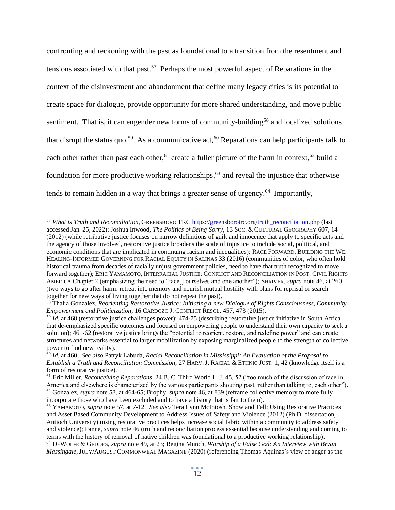confronting and reckoning with the past as foundational to a transition from the resentment and tensions associated with that past.<sup>57</sup> Perhaps the most powerful aspect of Reparations in the context of the disinvestment and abandonment that define many legacy cities is its potential to create space for dialogue, provide opportunity for more shared understanding, and move public sentiment. That is, it can engender new forms of community-building<sup>58</sup> and localized solutions that disrupt the status quo.<sup>59</sup> As a communicative act,<sup>60</sup> Reparations can help participants talk to each other rather than past each other,<sup>61</sup> create a fuller picture of the harm in context,<sup>62</sup> build a foundation for more productive working relationships, <sup>63</sup> and reveal the injustice that otherwise tends to remain hidden in a way that brings a greater sense of urgency.<sup>64</sup> Importantly,

<sup>57</sup> *What is Truth and Reconciliation*, GREENSBORO TRC [https://greensborotrc.org/truth\\_reconciliation.php](https://greensborotrc.org/truth_reconciliation.php) (last accessed Jan. 25, 2022); Joshua Inwood, *The Politics of Being Sorry*, 13 SOC. & CULTURAL GEOGRAPHY 607, 14 (2012) (while retributive justice focuses on narrow definitions of guilt and innocence that apply to specific acts and the agency of those involved, restorative justice broadens the scale of injustice to include social, political, and economic conditions that are implicated in continuing racism and inequalities); RACE FORWARD, BUILDING THE WE: HEALING-INFORMED GOVERNING FOR RACIAL EQUITY IN SALINAS 33 (2016) (communities of color, who often hold historical trauma from decades of racially unjust government policies, need to have that truth recognized to move forward together); ERIC YAMAMOTO, INTERRACIAL JUSTICE: CONFLICT AND RECONCILIATION IN POST–CIVIL RIGHTS AMERICA Chapter 2 (emphasizing the need to "face[] ourselves and one another"); SHRIVER, *supra* note 46, at 260 (two ways to go after harm: retreat into memory and nourish mutual hostility with plans for reprisal or search together for new ways of living together that do not repeat the past).

<sup>58</sup> Thalia Gonzalez, *Reorienting Restorative Justice: Initiating a new Dialogue of Rights Consciousness, Community Empowerment and Politicization*, 16 CARDOZO J. CONFLICT RESOL. 457, 473 (2015).

<sup>59</sup> *Id.* at 468 (restorative justice challenges power); 474-75 (describing restorative justice initiative in South Africa that de-emphasized specific outcomes and focused on empowering people to understand their own capacity to seek a solution); 461-62 (restorative justice brings the "potential to reorient, restore, and redefine power" and can create structures and networks essential to larger mobilization by exposing marginalized people to the strength of collective power to find new reality).

<sup>60</sup> *Id.* at 460. *See also* Patryk Labuda, *Racial Reconciliation in Mississippi: An Evaluation of the Proposal to Establish a Truth and Reconciliation Commission*, 27 HARV.J. RACIAL & ETHNIC JUST. 1, 42 (knowledge itself is a form of restorative justice).

<sup>61</sup> Eric Miller, *Reconceiving Reparations*, 24 B. C. Third World L. J. 45, 52 ("too much of the discussion of race in America and elsewhere is characterized by the various participants shouting past, rather than talking to, each other"). <sup>62</sup> Gonzalez, *supra* note 58, at 464-65; Brophy, *supra* note 46, at 839 (reframe collective memory to more fully incorporate those who have been excluded and to have a history that is fair to them).

<sup>63</sup> YAMAMOTO, *supra* note 57, at 7-12. *See also* Tera Lynn McIntosh, Show and Tell: Using Restorative Practices and Asset Based Community Development to Address Issues of Safety and Violence (2012) (Ph.D. dissertation, Antioch University) (using restorative practices helps increase social fabric within a community to address safety and violence); Panne, *supra* note 46 (truth and reconciliation process essential because understanding and coming to terms with the history of removal of native children was foundational to a productive working relationship). <sup>64</sup> DEWOLFE & GEDDES, *supra* note 49, at 23; Regina Munch, *Worship of a False God: An Interview with Bryan Massingale*,JULY/AUGUST COMMONWEAL MAGAZINE (2020) (referencing Thomas Aquinas's view of anger as the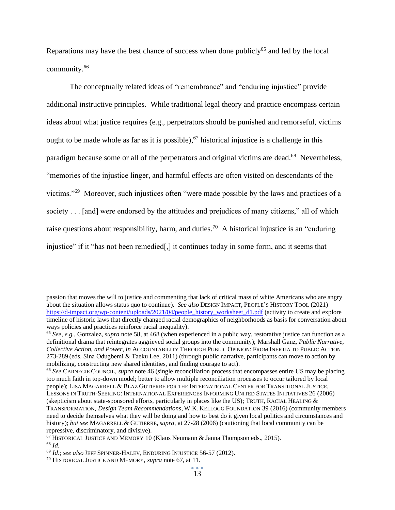Reparations may have the best chance of success when done publicly<sup>65</sup> and led by the local community. 66

The conceptually related ideas of "remembrance" and "enduring injustice" provide additional instructive principles. While traditional legal theory and practice encompass certain ideas about what justice requires (e.g., perpetrators should be punished and remorseful, victims ought to be made whole as far as it is possible),  $67$  historical injustice is a challenge in this paradigm because some or all of the perpetrators and original victims are dead.<sup>68</sup> Nevertheless, "memories of the injustice linger, and harmful effects are often visited on descendants of the victims."<sup>69</sup> Moreover, such injustices often "were made possible by the laws and practices of a society . . . [and] were endorsed by the attitudes and prejudices of many citizens," all of which raise questions about responsibility, harm, and duties.<sup>70</sup> A historical injustice is an "enduring" injustice" if it "has not been remedied[,] it continues today in some form, and it seems that

passion that moves the will to justice and commenting that lack of critical mass of white Americans who are angry about the situation allows status quo to continue). *See also* DESIGN IMPACT, PEOPLE'S HISTORY TOOL (2021) [https://d-impact.org/wp-content/uploads/2021/04/people\\_history\\_worksheet\\_d1.pdf](https://d-impact.org/wp-content/uploads/2021/04/people_history_worksheet_d1.pdf) (activity to create and explore timeline of historic laws that directly changed racial demographics of neighborhoods as basis for conversation about ways policies and practices reinforce racial inequality).

<sup>65</sup> *See, e.g.*, Gonzalez, *supra* note 58, at 468 (when experienced in a public way, restorative justice can function as a definitional drama that reintegrates aggrieved social groups into the community); Marshall Ganz, *Public Narrative, Collective Action, and Power*, *in* ACCOUNTABILITY THROUGH PUBLIC OPINION: FROM INERTIA TO PUBLIC ACTION 273-289 (eds. Sina Odugbemi & Taeku Lee, 2011) (through public narrative, participants can move to action by mobilizing, constructing new shared identities, and finding courage to act).

<sup>66</sup> *See* CARNEGIE COUNCIL, *supra* note 46 (single reconciliation process that encompasses entire US may be placing too much faith in top-down model; better to allow multiple reconciliation processes to occur tailored by local people); LISA MAGARRELL & BLAZ GUTIERRE FOR THE INTERNATIONAL CENTER FOR TRANSITIONAL JUSTICE, LESSONS IN TRUTH-SEEKING: INTERNATIONAL EXPERIENCES INFORMING UNITED STATES INITIATIVES 26 (2006) (skepticism about state-sponsored efforts, particularly in places like the US); TRUTH, RACIAL HEALING  $\&$ TRANSFORMATION, *Design Team Recommendations*, W.K. KELLOGG FOUNDATION 39 (2016) (community members need to decide themselves what they will be doing and how to best do it given local politics and circumstances and history); *but see* MAGARRELL & GUTIERRE, *supra*, at 27-28 (2006) (cautioning that local community can be repressive, discriminatory, and divisive).

 $^{67}$  HISTORICAL JUSTICE AND MEMORY 10 (Klaus Neumann & Janna Thompson eds., 2015). <sup>68</sup> *Id.*

<sup>69</sup> *Id*.; *see also* JEFF SPINNER-HALEV, ENDURING INJUSTICE 56-57 (2012).

<sup>70</sup> HISTORICAL JUSTICE AND MEMORY, *supra* note 67, at 11.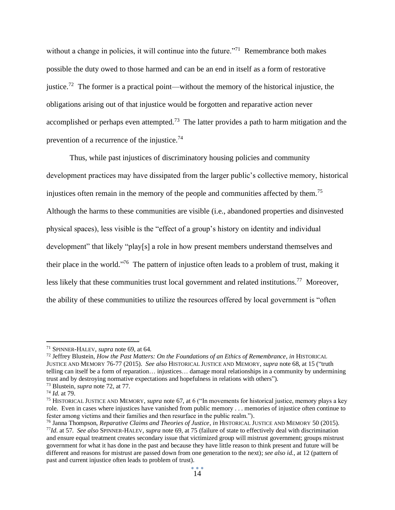without a change in policies, it will continue into the future."<sup>71</sup> Remembrance both makes possible the duty owed to those harmed and can be an end in itself as a form of restorative justice.<sup>72</sup> The former is a practical point—without the memory of the historical injustice, the obligations arising out of that injustice would be forgotten and reparative action never accomplished or perhaps even attempted.<sup>73</sup> The latter provides a path to harm mitigation and the prevention of a recurrence of the injustice.<sup>74</sup>

Thus, while past injustices of discriminatory housing policies and community development practices may have dissipated from the larger public's collective memory, historical injustices often remain in the memory of the people and communities affected by them.<sup>75</sup> Although the harms to these communities are visible (i.e., abandoned properties and disinvested physical spaces), less visible is the "effect of a group's history on identity and individual development" that likely "play[s] a role in how present members understand themselves and their place in the world."<sup>76</sup> The pattern of injustice often leads to a problem of trust, making it less likely that these communities trust local government and related institutions.<sup>77</sup> Moreover, the ability of these communities to utilize the resources offered by local government is "often

<sup>71</sup> SPINNER-HALEV, *supra* note 69, at 64.

<sup>72</sup> Jeffrey Blustein, *How the Past Matters: On the Foundations of an Ethics of Remembrance*, *in* HISTORICAL JUSTICE AND MEMORY 76-77 (2015). *See also* HISTORICAL JUSTICE AND MEMORY, *supra* note 68, at 15 ("truth telling can itself be a form of reparation… injustices… damage moral relationships in a community by undermining trust and by destroying normative expectations and hopefulness in relations with others").

<sup>73</sup> Blustein, *supra* note 72, at 77.

<sup>74</sup> *Id.* at 79.

<sup>75</sup> HISTORICAL JUSTICE AND MEMORY, *supra* note 67, at 6 ("In movements for historical justice, memory plays a key role. Even in cases where injustices have vanished from public memory . . . memories of injustice often continue to fester among victims and their families and then resurface in the public realm.").

<sup>76</sup> Janna Thompson, *Reparative Claims and Theories of Justice*, *in* HISTORICAL JUSTICE AND MEMORY 50 (2015). <sup>77</sup>*Id*. at 57. *See also* SPINNER-HALEV, *supra* note 69, at 75 (failure of state to effectively deal with discrimination and ensure equal treatment creates secondary issue that victimized group will mistrust government; groups mistrust government for what it has done in the past and because they have little reason to think present and future will be different and reasons for mistrust are passed down from one generation to the next); *see also id.*, at 12 (pattern of past and current injustice often leads to problem of trust).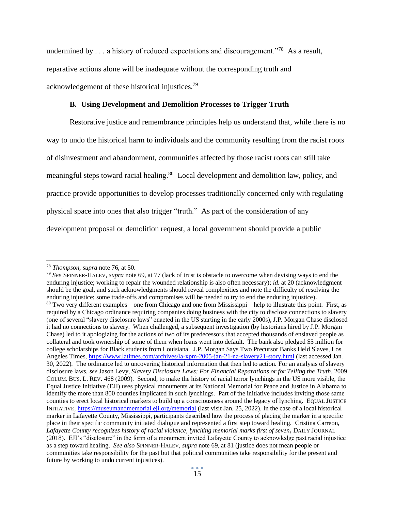undermined by  $\dots$  a history of reduced expectations and discouragement."<sup>78</sup> As a result, reparative actions alone will be inadequate without the corresponding truth and acknowledgement of these historical injustices.<sup>79</sup>

## **B. Using Development and Demolition Processes to Trigger Truth**

Restorative justice and remembrance principles help us understand that, while there is no way to undo the historical harm to individuals and the community resulting from the racist roots of disinvestment and abandonment, communities affected by those racist roots can still take meaningful steps toward racial healing.<sup>80</sup> Local development and demolition law, policy, and practice provide opportunities to develop processes traditionally concerned only with regulating physical space into ones that also trigger "truth." As part of the consideration of any development proposal or demolition request, a local government should provide a public

<sup>78</sup> *Thompson*, *supra* note 76, at 50.

<sup>79</sup> *See* SPINNER-HALEV, *supra* note 69, at 77 (lack of trust is obstacle to overcome when devising ways to end the enduring injustice; working to repair the wounded relationship is also often necessary); *id.* at 20 (acknowledgment should be the goal, and such acknowledgments should reveal complexities and note the difficulty of resolving the enduring injustice; some trade-offs and compromises will be needed to try to end the enduring injustice). <sup>80</sup> Two very different examples—one from Chicago and one from Mississippi—help to illustrate this point. First, as required by a Chicago ordinance requiring companies doing business with the city to disclose connections to slavery (one of several "slavery disclosure laws" enacted in the US starting in the early 2000s), J.P. Morgan Chase disclosed it had no connections to slavery. When challenged, a subsequent investigation (by historians hired by J.P. Morgan Chase) led to it apologizing for the actions of two of its predecessors that accepted thousands of enslaved people as collateral and took ownership of some of them when loans went into default. The bank also pledged \$5 million for college scholarships for Black students from Louisiana. J.P. Morgan Says Two Precursor Banks Held Slaves, Los Angeles Times,<https://www.latimes.com/archives/la-xpm-2005-jan-21-na-slavery21-story.html> (last accessed Jan. 30, 2022). The ordinance led to uncovering historical information that then led to action. For an analysis of slavery disclosure laws, *see* Jason Levy, *Slavery Disclosure Laws: For Financial Reparations or for Telling the Truth*, 2009 COLUM. BUS. L. REV. 468 (2009). Second, to make the history of racial terror lynchings in the US more visible, the Equal Justice Initiative (EJI) uses physical monuments at its National Memorial for Peace and Justice in Alabama to identify the more than 800 counties implicated in such lynchings. Part of the initiative includes inviting those same counties to erect local historical markers to build up a consciousness around the legacy of lynching. EQUAL JUSTICE INITIATIVE, <https://museumandmemorial.eji.org/memorial> (last visit Jan. 25, 2022). In the case of a local historical marker in Lafayette County, Mississippi, participants described how the process of placing the marker in a specific place in their specific community initiated dialogue and represented a first step toward healing. Cristina Carreon, *Lafayette County recognizes history of racial violence, lynching memorial marks first of seven***,** DAILY JOURNAL (2018). EJI's "disclosure" in the form of a monument invited Lafayette County to acknowledge past racial injustice as a step toward healing. *See also* SPINNER-HALEV, *supra* note 69, at 81 (justice does not mean people or communities take responsibility for the past but that political communities take responsibility for the present and future by working to undo current injustices).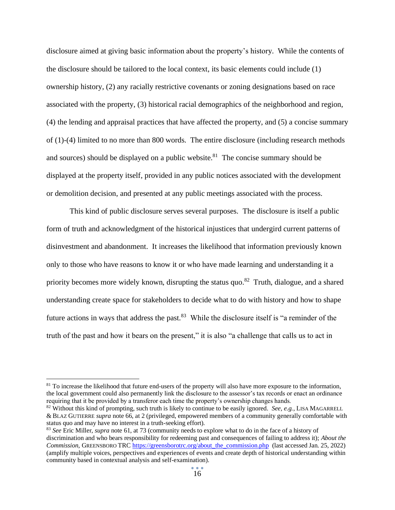disclosure aimed at giving basic information about the property's history. While the contents of the disclosure should be tailored to the local context, its basic elements could include (1) ownership history, (2) any racially restrictive covenants or zoning designations based on race associated with the property, (3) historical racial demographics of the neighborhood and region, (4) the lending and appraisal practices that have affected the property, and (5) a concise summary of (1)-(4) limited to no more than 800 words*.* The entire disclosure (including research methods and sources) should be displayed on a public website.<sup>81</sup> The concise summary should be displayed at the property itself, provided in any public notices associated with the development or demolition decision, and presented at any public meetings associated with the process.

This kind of public disclosure serves several purposes. The disclosure is itself a public form of truth and acknowledgment of the historical injustices that undergird current patterns of disinvestment and abandonment. It increases the likelihood that information previously known only to those who have reasons to know it or who have made learning and understanding it a priority becomes more widely known, disrupting the status quo.<sup>82</sup> Truth, dialogue, and a shared understanding create space for stakeholders to decide what to do with history and how to shape future actions in ways that address the past.<sup>83</sup> While the disclosure itself is "a reminder of the truth of the past and how it bears on the present," it is also "a challenge that calls us to act in

<sup>&</sup>lt;sup>81</sup> To increase the likelihood that future end-users of the property will also have more exposure to the information, the local government could also permanently link the disclosure to the assessor's tax records or enact an ordinance requiring that it be provided by a transferor each time the property's ownership changes hands.

<sup>82</sup> Without this kind of prompting, such truth is likely to continue to be easily ignored. *See, e.g.*, LISA MAGARRELL & BLAZ GUTIERRE *supra* note 66, at 2 (privileged, empowered members of a community generally comfortable with status quo and may have no interest in a truth-seeking effort).

<sup>83</sup> *See* Eric Miller, *supra* note 61, at 73 (community needs to explore what to do in the face of a history of discrimination and who bears responsibility for redeeming past and consequences of failing to address it); *About the Commission*, GREENSBORO TRC [https://greensborotrc.org/about\\_the\\_commission.php](https://greensborotrc.org/about_the_commission.php) (last accessed Jan. 25, 2022) (amplify multiple voices, perspectives and experiences of events and create depth of historical understanding within community based in contextual analysis and self-examination).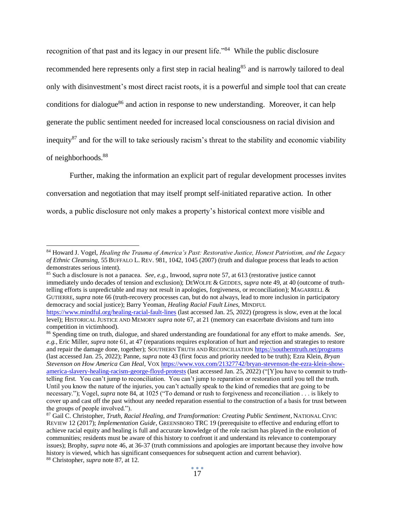recognition of that past and its legacy in our present life."<sup>84</sup> While the public disclosure recommended here represents only a first step in racial healing<sup>85</sup> and is narrowly tailored to deal only with disinvestment's most direct racist roots, it is a powerful and simple tool that can create conditions for dialogue<sup>86</sup> and action in response to new understanding. Moreover, it can help generate the public sentiment needed for increased local consciousness on racial division and inequity<sup>87</sup> and for the will to take seriously racism's threat to the stability and economic viability of neighborhoods.<sup>88</sup>

Further, making the information an explicit part of regular development processes invites conversation and negotiation that may itself prompt self-initiated reparative action. In other words, a public disclosure not only makes a property's historical context more visible and

<sup>84</sup> Howard J. Vogel, *Healing the Trauma of America's Past: Restorative Justice, Honest Patriotism, and the Legacy of Ethnic Cleansing*, 55 BUFFALO L. REV. 981, 1042, 1045 (2007) (truth and dialogue process that leads to action demonstrates serious intent).

<sup>85</sup> Such a disclosure is not a panacea. *See, e.g.*, Inwood, *supra* note 57, at 613 (restorative justice cannot immediately undo decades of tension and exclusion); DEWOLFE & GEDDES, *supra* note 49, at 40 (outcome of truthtelling efforts is unpredictable and may not result in apologies, forgiveness, or reconciliation); MAGARRELL & GUTIERRE, *supra* note 66 (truth-recovery processes can, but do not always, lead to more inclusion in participatory democracy and social justice); Barry Yeoman, *Healing Racial Fault Lines*, MINDFUL

[https://www.mindful.org/healing-racial-fault-lines](https://www.mindful.org/healing-racial-fault-lines/) (last accessed Jan. 25, 2022) (progress is slow, even at the local level); HISTORICAL JUSTICE AND MEMORY *supra* note 67, at 21 (memory can exacerbate divisions and turn into competition in victimhood).

<sup>86</sup> Spending time on truth, dialogue, and shared understanding are foundational for any effort to make amends. *See, e.g.*, Eric Miller, *supra* note 61, at 47 (reparations requires exploration of hurt and rejection and strategies to restore and repair the damage done, together); SOUTHERN TRUTH AND RECONCILIATION [https://southerntruth.net/programs](https://southerntruth.net/programsP) (last accessed Jan. 25, 2022); Panne, *supra* note 43 (first focus and priority needed to be truth); Ezra Klein, *Bryan Stevenson on How America Can Heal*, VOX [https://www.vox.com/21327742/bryan-stevenson-the-ezra-klein-show](https://www.vox.com/21327742/bryan-stevenson-the-ezra-klein-show-america-slavery-healing-racism-george-floyd-protests)[america-slavery-healing-racism-george-floyd-protests](https://www.vox.com/21327742/bryan-stevenson-the-ezra-klein-show-america-slavery-healing-racism-george-floyd-protests) (last accessed Jan. 25, 2022) ("[Y]ou have to commit to truthtelling first. You can't jump to reconciliation. You can't jump to reparation or restoration until you tell the truth. Until you know the nature of the injuries, you can't actually speak to the kind of remedies that are going to be necessary."); Vogel, *supra* note 84, at 1025 ("To demand or rush to forgiveness and reconciliation . . . is likely to cover up and cast off the past without any needed reparation essential to the construction of a basis for trust between the groups of people involved.").

<sup>87</sup> Gail C. Christopher*, Truth, Racial Healing, and Transformation: Creating Public Sentiment*, NATIONAL CIVIC REVIEW 12 (2017); *Implementation Guide*, GREENSBORO TRC 19 (prerequisite to effective and enduring effort to achieve racial equity and healing is full and accurate knowledge of the role racism has played in the evolution of communities; residents must be aware of this history to confront it and understand its relevance to contemporary issues); Brophy, *supra* note 46, at 36-37 (truth commissions and apologies are important because they involve how history is viewed, which has significant consequences for subsequent action and current behavior). <sup>88</sup> Christopher, *supra* note 87, at 12.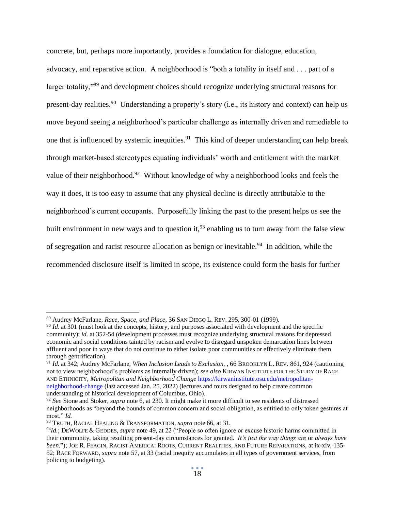concrete, but, perhaps more importantly, provides a foundation for dialogue, education, advocacy, and reparative action*.* A neighborhood is "both a totality in itself and . . . part of a larger totality,"<sup>89</sup> and development choices should recognize underlying structural reasons for present-day realities.<sup>90</sup> Understanding a property's story (i.e., its history and context) can help us move beyond seeing a neighborhood's particular challenge as internally driven and remediable to one that is influenced by systemic inequities.<sup>91</sup> This kind of deeper understanding can help break through market-based stereotypes equating individuals' worth and entitlement with the market value of their neighborhood.<sup>92</sup> Without knowledge of why a neighborhood looks and feels the way it does, it is too easy to assume that any physical decline is directly attributable to the neighborhood's current occupants. Purposefully linking the past to the present helps us see the built environment in new ways and to question it,  $93$  enabling us to turn away from the false view of segregation and racist resource allocation as benign or inevitable.<sup>94</sup> In addition, while the recommended disclosure itself is limited in scope, its existence could form the basis for further

<sup>89</sup> Audrey McFarlane, *Race, Space, and Place*, 36 SAN DIEGO L. REV. 295, 300-01 (1999).

<sup>90</sup> *Id*. at 301 (must look at the concepts, history, and purposes associated with development and the specific community); *id*. at 352-54 (development processes must recognize underlying structural reasons for depressed economic and social conditions tainted by racism and evolve to disregard unspoken demarcation lines between affluent and poor in ways that do not continue to either isolate poor communities or effectively eliminate them through gentrification).

<sup>91</sup> *Id.* at 342; Audrey McFarlane, *When Inclusion Leads to Exclusion*, , 66 BROOKLYN L. REV. 861, 924 (cautioning not to view neighborhood's problems as internally driven); *see also* KIRWAN INSTITUTE FOR THE STUDY OF RACE AND ETHNICITY, *Metropolitan and Neighborhood Change* [https://kirwaninstitute.osu.edu/metropolitan](https://kirwaninstitute.osu.edu/metropolitan-neighborhood-change)[neighborhood-change](https://kirwaninstitute.osu.edu/metropolitan-neighborhood-change) (last accessed Jan. 25, 2022) (lectures and tours designed to help create common understanding of historical development of Columbus, Ohio).

<sup>92</sup> *See* Stone and Stoker, *supra* note 6, at 230. It might make it more difficult to see residents of distressed neighborhoods as "beyond the bounds of common concern and social obligation, as entitled to only token gestures at most." *Id.*

<sup>93</sup> TRUTH, RACIAL HEALING & TRANSFORMATION, *supra* note 66, at 31.

<sup>94</sup>*Id.*; DEWOLFE & GEDDES, *supra* note 49, at 22 ("People so often ignore or excuse historic harms committed in their community, taking resulting present-day circumstances for granted. *It's just the way things are* or *always have been*."); JOE R. FEAGIN, RACIST AMERICA: ROOTS, CURRENT REALITIES, AND FUTURE REPARATIONS, at ix-xiv, 135- 52; RACE FORWARD, *supra* note 57, at 33 (racial inequity accumulates in all types of government services, from policing to budgeting).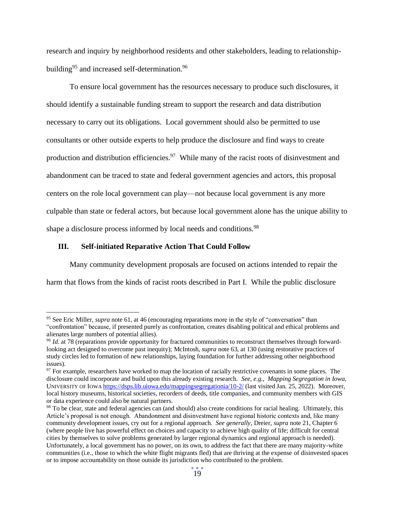research and inquiry by neighborhood residents and other stakeholders, leading to relationshipbuilding<sup>95</sup> and increased self-determination.<sup>96</sup>

To ensure local government has the resources necessary to produce such disclosures, it should identify a sustainable funding stream to support the research and data distribution necessary to carry out its obligations. Local government should also be permitted to use consultants or other outside experts to help produce the disclosure and find ways to create production and distribution efficiencies.<sup>97</sup> While many of the racist roots of disinvestment and abandonment can be traced to state and federal government agencies and actors, this proposal centers on the role local government can play—not because local government is any more culpable than state or federal actors, but because local government alone has the unique ability to shape a disclosure process informed by local needs and conditions.<sup>98</sup>

#### **III. Self-initiated Reparative Action That Could Follow**

Many community development proposals are focused on actions intended to repair the harm that flows from the kinds of racist roots described in Part I. While the public disclosure

<sup>95</sup> See Eric Miller, *supra* note 61, at 46 (encouraging reparations more in the style of "conversation" than "confrontation" because, if presented purely as confrontation, creates disabling political and ethical problems and alienates large numbers of potential allies).

<sup>96</sup> *Id*. at 78 (reparations provide opportunity for fractured communities to reconstruct themselves through forwardlooking act designed to overcome past inequity); McIntosh, *supra* note 63, at 130 (using restorative practices of study circles led to formation of new relationships, laying foundation for further addressing other neighborhood issues).

<sup>&</sup>lt;sup>97</sup> For example, researchers have worked to map the location of racially restrictive covenants in some places. The disclosure could incorporate and build upon this already existing research. *See, e.g., Mapping Segregation in Iowa,*  UNIVERSITY OF IOWA <https://dsps.lib.uiowa.edu/mappingsegregationia/10-2/> (last visited Jan. 25, 2022). Moreover, local history museums, historical societies, recorders of deeds, title companies, and community members with GIS or data experience could also be natural partners.

<sup>&</sup>lt;sup>98</sup> To be clear, state and federal agencies can (and should) also create conditions for racial healing. Ultimately, this Article's proposal is not enough. Abandonment and disinvestment have regional historic contexts and, like many community development issues, cry out for a regional approach. *See generally*, Dreier, *supra* note 21, Chapter 6 (where people live has powerful effect on choices and capacity to achieve high quality of life; difficult for central cities by themselves to solve problems generated by larger regional dynamics and regional approach is needed). Unfortunately, a local government has no power, on its own, to address the fact that there are many majority-white communities (i.e., those to which the white flight migrants fled) that are thriving at the expense of disinvested spaces or to impose accountability on those outside its jurisdiction who contributed to the problem.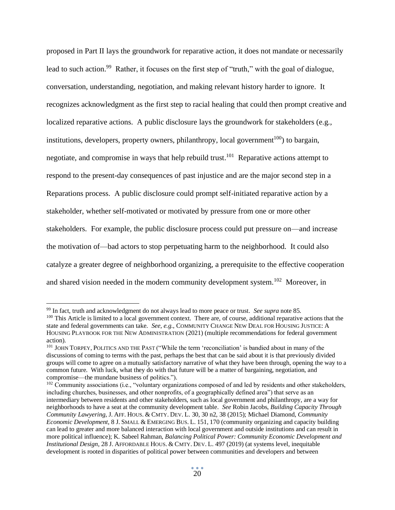proposed in Part II lays the groundwork for reparative action, it does not mandate or necessarily lead to such action.<sup>99</sup> Rather, it focuses on the first step of "truth," with the goal of dialogue, conversation, understanding, negotiation, and making relevant history harder to ignore. It recognizes acknowledgment as the first step to racial healing that could then prompt creative and localized reparative actions. A public disclosure lays the groundwork for stakeholders (e.g., institutions, developers, property owners, philanthropy, local government<sup>100</sup>) to bargain, negotiate, and compromise in ways that help rebuild trust.<sup>101</sup> Reparative actions attempt to respond to the present-day consequences of past injustice and are the major second step in a Reparations process. A public disclosure could prompt self-initiated reparative action by a stakeholder, whether self-motivated or motivated by pressure from one or more other stakeholders. For example, the public disclosure process could put pressure on—and increase the motivation of—bad actors to stop perpetuating harm to the neighborhood. It could also catalyze a greater degree of neighborhood organizing, a prerequisite to the effective cooperation and shared vision needed in the modern community development system.<sup>102</sup> Moreover, in

<sup>99</sup> In fact, truth and acknowledgment do not always lead to more peace or trust. *See supra* note 85.

 $100$  This Article is limited to a local government context. There are, of course, additional reparative actions that the state and federal governments can take. *See, e.g.*, COMMUNITY CHANGE NEW DEAL FOR HOUSING JUSTICE: A HOUSING PLAYBOOK FOR THE NEW ADMINISTRATION (2021) (multiple recommendations for federal government action).

<sup>&</sup>lt;sup>101</sup> JOHN TORPEY, POLITICS AND THE PAST ("While the term 'reconciliation' is bandied about in many of the discussions of coming to terms with the past, perhaps the best that can be said about it is that previously divided groups will come to agree on a mutually satisfactory narrative of what they have been through, opening the way to a common future. With luck, what they do with that future will be a matter of bargaining, negotiation, and compromise—the mundane business of politics.").

<sup>&</sup>lt;sup>102</sup> Community associations (i.e., "voluntary organizations composed of and led by residents and other stakeholders, including churches, businesses, and other nonprofits, of a geographically defined area") that serve as an intermediary between residents and other stakeholders, such as local government and philanthropy, are a way for neighborhoods to have a seat at the community development table. *See* Robin Jacobs, *Building Capacity Through Community Lawyering*, J. AFF. HOUS. & CMTY. DEV. L. 30, 30 n2, 38 (2015); Michael Diamond*, Community Economic Development*, 8 J. SMALL & EMERGING BUS. L. 151, 170 (community organizing and capacity building can lead to greater and more balanced interaction with local government and outside institutions and can result in more political influence); K. Sabeel Rahman, *Balancing Political Power: Community Economic Development and Institutional Design*, 28 J. AFFORDABLE HOUS. & CMTY. DEV. L. 497 (2019) (at systems level, inequitable development is rooted in disparities of political power between communities and developers and between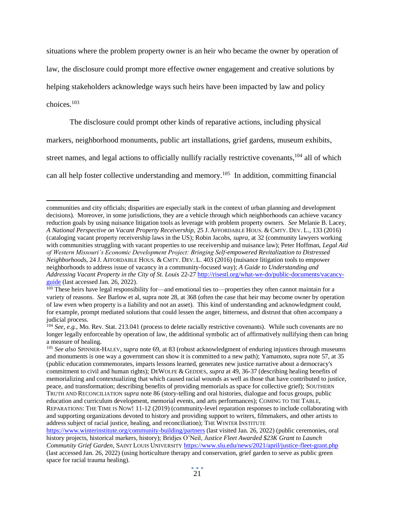situations where the problem property owner is an heir who became the owner by operation of law, the disclosure could prompt more effective owner engagement and creative solutions by helping stakeholders acknowledge ways such heirs have been impacted by law and policy choices. 103

The disclosure could prompt other kinds of reparative actions, including physical

markers, neighborhood monuments, public art installations, grief gardens, museum exhibits,

street names, and legal actions to officially nullify racially restrictive covenants,<sup>104</sup> all of which

can all help foster collective understanding and memory.<sup>105</sup> In addition, committing financial

communities and city officials; disparities are especially stark in the context of urban planning and development decisions). Moreover, in some jurisdictions, they are a vehicle through which neighborhoods can achieve vacancy reduction goals by using nuisance litigation tools as leverage with problem property owners. *See* Melanie B. Lacey, *A National Perspective on Vacant Property Receivership*, 25 J. AFFORDABLE HOUS. & CMTY. DEV. L., 133 (2016) (cataloging vacant property receivership laws in the US); Robin Jacobs, *supra*, at 32 (community lawyers working with communities struggling with vacant properties to use receivership and nuisance law); Peter Hoffman, *Legal Aid of Western Missouri's Economic Development Project: Bringing Self-empowered Revitalization to Distressed Neighborhoods*, 24 J. AFFORDABLE HOUS. & CMTY. DEV. L. 403 (2016) (nuisance litigation tools to empower neighborhoods to address issue of vacancy in a community-focused way); *A Guide to Understanding and Addressing Vacant Property in the City of St. Louis* 22-27 [http://risestl.org/what-we-do/public-documents/vacancy](http://risestl.org/what-we-do/public-documents/vacancy-guide)[guide](http://risestl.org/what-we-do/public-documents/vacancy-guide) (last accessed Jan. 26, 2022).

<sup>&</sup>lt;sup>103</sup> These heirs have legal responsibility for—and emotional ties to—properties they often cannot maintain for a variety of reasons. *See* Barlow et al, supra note 28, at 368 (often the case that heir may become owner by operation of law even when property is a liability and not an asset). This kind of understanding and acknowledgment could, for example, prompt mediated solutions that could lessen the anger, bitterness, and distrust that often accompany a judicial process.

<sup>&</sup>lt;sup>104</sup> *See, e.g.,* Mo. Rev. Stat. 213.041 (process to delete racially restrictive covenants). While such covenants are no longer legally enforceable by operation of law, the additional symbolic act of affirmatively nullifying them can bring a measure of healing.

<sup>105</sup> *See also* SPINNER-HALEV, *supra* note 69, at 83 (robust acknowledgment of enduring injustices through museums and monuments is one way a government can show it is committed to a new path); Yamamoto, supra note 57, at 35 (public education commemorates, imparts lessons learned, generates new justice narrative about a democracy's commitment to civil and human rights); DEWOLFE & GEDDES, *supra* at 49, 36-37 (describing healing benefits of memorializing and contextualizing that which caused racial wounds as well as those that have contributed to justice, peace, and transformation; describing benefits of providing memorials as space for collective grief); SOUTHERN TRUTH AND RECONCILIATION *supra* note 86 (story-telling and oral histories, dialogue and focus groups, public education and curriculum development, memorial events, and arts performances); COMING TO THE TABLE, REPARATIONS: THE TIME IS NOW! 11-12 (2019) (community-level reparation responses to include collaborating with and supporting organizations devoted to history and providing support to writers, filmmakers, and other artists to address subject of racial justice, healing, and reconciliation); THE WINTER INSTITUTE

[https://www.winterinstitute.org/community-building/partners](https://www.winterinstitute.org/community-building/partners/) (last visited Jan. 26, 2022) (public ceremonies, oral history projects, historical markers, history); Bridjes O'Neil, *Justice Fleet Awarded \$23K Grant to Launch Community Grief Garden*, SAINT LOUIS UNIVERSITY <https://www.slu.edu/news/2021/april/justice-fleet-grant.php> (last accessed Jan. 26, 2022) (using horticulture therapy and conservation, grief garden to serve as public green space for racial trauma healing).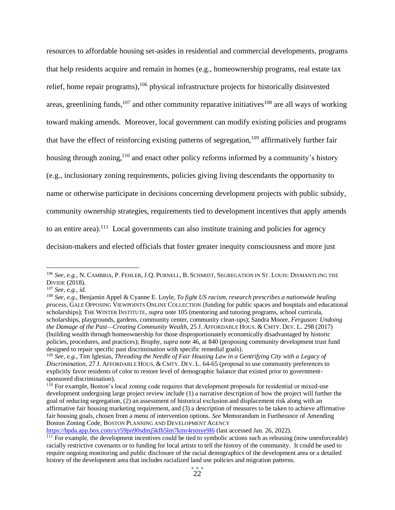resources to affordable housing set-asides in residential and commercial developments, programs that help residents acquire and remain in homes (e.g., homeownership programs, real estate tax relief, home repair programs), <sup>106</sup> physical infrastructure projects for historically disinvested areas, greenlining funds,  $107$  and other community reparative initiatives  $108$  are all ways of working toward making amends. Moreover, local government can modify existing policies and programs that have the effect of reinforcing existing patterns of segregation,<sup>109</sup> affirmatively further fair housing through zoning,<sup>110</sup> and enact other policy reforms informed by a community's history (e.g., inclusionary zoning requirements, policies giving living descendants the opportunity to name or otherwise participate in decisions concerning development projects with public subsidy, community ownership strategies, requirements tied to development incentives that apply amends to an entire area).<sup>111</sup> Local governments can also institute training and policies for agency decision-makers and elected officials that foster greater inequity consciousness and more just

<sup>106</sup> *See, e.g.*, N. CAMBRIA, P. FEHLER, J.Q. PURNELL, B. SCHMIDT, SEGREGATION IN ST. LOUIS: DISMANTLING THE DIVIDE (2018).

<sup>107</sup> *See, e.g.*, *id.*

<sup>108</sup> *See, e.g*., Benjamin Appel & Cyanne E. Loyle, *To fight US racism, research prescribes a nationwide healing process*, GALE OPPOSING VIEWPOINTS ONLINE COLLECTION (funding for public spaces and hospitals and educational scholarships); THE WINTER INSTITUTE, *supra* note 105 (mentoring and tutoring programs, school curricula, scholarships, playgrounds, gardens, community center, community clean-ups); Sandra Moore, *Ferguson: Undoing the Damage of the Past—Creating Community Wealth*, 25 J. AFFORDABLE HOUS. & CMTY. DEV. L. 298 (2017) (building wealth through homeownership for those disproportionately economically disadvantaged by historic policies, procedures, and practices); Brophy, *supra* note 46, at 840 (proposing community development trust fund designed to repair specific past discrimination with specific remedial goals).

<sup>109</sup> *See, e.g*., Tim Iglesias, *Threading the Needle of Fair Housing Law in a Gentrifying City with a Legacy of Discrimination*, 27 J. AFFORDABLE HOUS. & CMTY. DEV. L. 64-65 (proposal to use community preferences to explicitly favor residents of color to restore level of demographic balance that existed prior to governmentsponsored discrimination).

<sup>&</sup>lt;sup>110</sup> For example, Boston's local zoning code requires that development proposals for residential or mixed-use development undergoing large project review include (1) a narrative description of how the project will further the goal of reducing segregation, (2) an assessment of historical exclusion and displacement risk along with an affirmative fair housing marketing requirement, and (3) a description of measures to be taken to achieve affirmative fair housing goals, chosen from a menu of intervention options. *See* Memorandum in Furtherance of Amending Boston Zoning Code, BOSTON PLANNING AND DEVELOPMENT AGENCY

<https://bpda.app.box.com/s/r59pn90sdmj5kfh5lm7kmr4rstnye9l6> (last accessed Jan. 26, 2022).

<sup>&</sup>lt;sup>111</sup> For example, the development incentives could be tied to symbolic actions such as releasing (now unenforceable) racially restrictive covenants or to funding for local artists to tell the history of the community. It could be used to require ongoing monitoring and public disclosure of the racial demographics of the development area or a detailed history of the development area that includes racialized land use policies and migration patterns.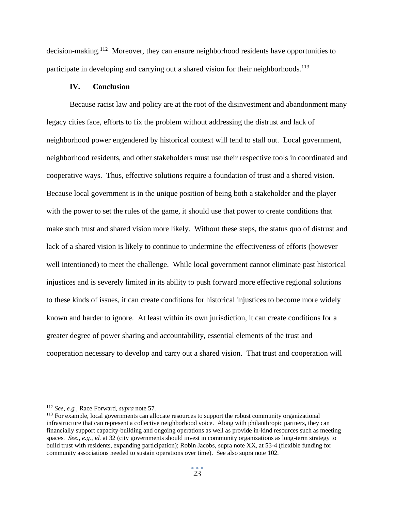decision-making.<sup>112</sup> Moreover, they can ensure neighborhood residents have opportunities to participate in developing and carrying out a shared vision for their neighborhoods.<sup>113</sup>

#### **IV. Conclusion**

Because racist law and policy are at the root of the disinvestment and abandonment many legacy cities face, efforts to fix the problem without addressing the distrust and lack of neighborhood power engendered by historical context will tend to stall out. Local government, neighborhood residents, and other stakeholders must use their respective tools in coordinated and cooperative ways. Thus, effective solutions require a foundation of trust and a shared vision. Because local government is in the unique position of being both a stakeholder and the player with the power to set the rules of the game, it should use that power to create conditions that make such trust and shared vision more likely. Without these steps, the status quo of distrust and lack of a shared vision is likely to continue to undermine the effectiveness of efforts (however well intentioned) to meet the challenge. While local government cannot eliminate past historical injustices and is severely limited in its ability to push forward more effective regional solutions to these kinds of issues, it can create conditions for historical injustices to become more widely known and harder to ignore. At least within its own jurisdiction, it can create conditions for a greater degree of power sharing and accountability, essential elements of the trust and cooperation necessary to develop and carry out a shared vision. That trust and cooperation will

<sup>112</sup> *See, e.g.*, Race Forward, *supra* note 57.

<sup>&</sup>lt;sup>113</sup> For example, local governments can allocate resources to support the robust community organizational infrastructure that can represent a collective neighborhood voice. Along with philanthropic partners, they can financially support capacity-building and ongoing operations as well as provide in-kind resources such as meeting spaces. *See., e.g.*, *id.* at 32 (city governments should invest in community organizations as long-term strategy to build trust with residents, expanding participation); Robin Jacobs, supra note XX, at 53-4 (flexible funding for community associations needed to sustain operations over time). See also supra note 102.